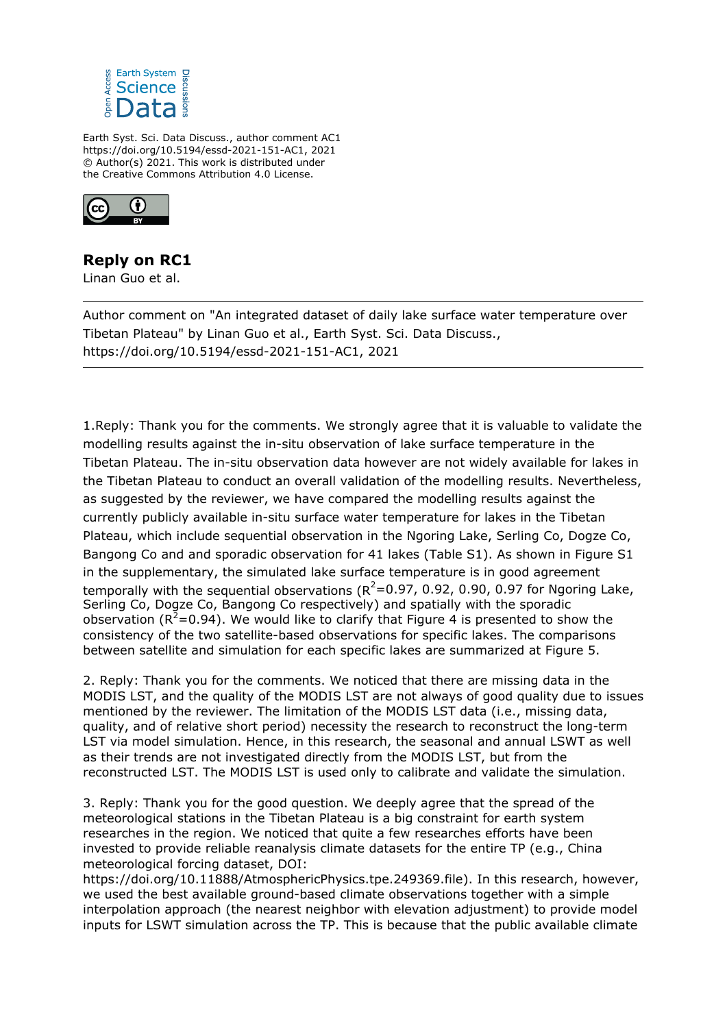

Earth Syst. Sci. Data Discuss., author comment AC1 https://doi.org/10.5194/essd-2021-151-AC1, 2021 © Author(s) 2021. This work is distributed under the Creative Commons Attribution 4.0 License.



## **Reply on RC1**

Linan Guo et al.

Author comment on "An integrated dataset of daily lake surface water temperature over Tibetan Plateau" by Linan Guo et al., Earth Syst. Sci. Data Discuss., https://doi.org/10.5194/essd-2021-151-AC1, 2021

1.Reply: Thank you for the comments. We strongly agree that it is valuable to validate the modelling results against the in-situ observation of lake surface temperature in the Tibetan Plateau. The in-situ observation data however are not widely available for lakes in the Tibetan Plateau to conduct an overall validation of the modelling results. Nevertheless, as suggested by the reviewer, we have compared the modelling results against the currently publicly available in-situ surface water temperature for lakes in the Tibetan Plateau, which include sequential observation in the Ngoring Lake, Serling Co, Dogze Co, Bangong Co and and sporadic observation for 41 lakes (Table S1). As shown in Figure S1 in the supplementary, the simulated lake surface temperature is in good agreement temporally with the sequential observations ( $R^2$ =0.97, 0.92, 0.90, 0.97 for Ngoring Lake, Serling Co, Dogze Co, Bangong Co respectively) and spatially with the sporadic observation ( $R^2$ =0.94). We would like to clarify that Figure 4 is presented to show the consistency of the two satellite-based observations for specific lakes. The comparisons between satellite and simulation for each specific lakes are summarized at Figure 5.

2. Reply: Thank you for the comments. We noticed that there are missing data in the MODIS LST, and the quality of the MODIS LST are not always of good quality due to issues mentioned by the reviewer. The limitation of the MODIS LST data (i.e., missing data, quality, and of relative short period) necessity the research to reconstruct the long-term LST via model simulation. Hence, in this research, the seasonal and annual LSWT as well as their trends are not investigated directly from the MODIS LST, but from the reconstructed LST. The MODIS LST is used only to calibrate and validate the simulation.

3. Reply: Thank you for the good question. We deeply agree that the spread of the meteorological stations in the Tibetan Plateau is a big constraint for earth system researches in the region. We noticed that quite a few researches efforts have been invested to provide reliable reanalysis climate datasets for the entire TP (e.g., China meteorological forcing dataset, DOI:

https://doi.org/10.11888/AtmosphericPhysics.tpe.249369.file). In this research, however, we used the best available ground-based climate observations together with a simple interpolation approach (the nearest neighbor with elevation adjustment) to provide model inputs for LSWT simulation across the TP. This is because that the public available climate